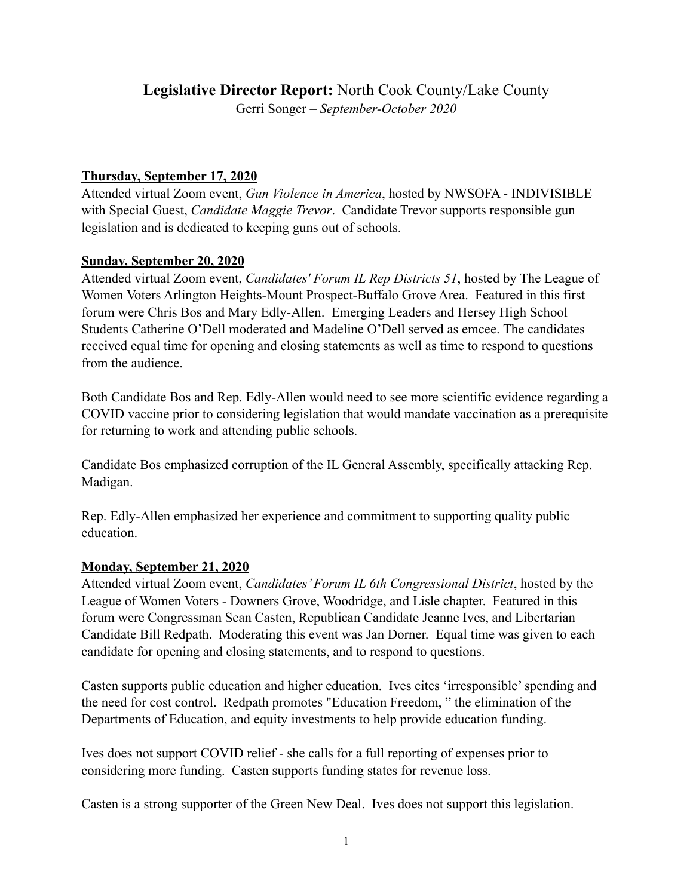# **Legislative Director Report:** North Cook County/Lake County

Gerri Songer – *September-October 2020*

## **Thursday, September 17, 2020**

Attended virtual Zoom event, *Gun Violence in America*, hosted by NWSOFA - INDIVISIBLE with Special Guest, *Candidate Maggie Trevor*. Candidate Trevor supports responsible gun legislation and is dedicated to keeping guns out of schools.

### **Sunday, September 20, 2020**

Attended virtual Zoom event, *Candidates' Forum IL Rep Districts 51*, hosted by The League of Women Voters Arlington Heights-Mount Prospect-Buffalo Grove Area. Featured in this first forum were Chris Bos and Mary Edly-Allen. Emerging Leaders and Hersey High School Students Catherine O'Dell moderated and Madeline O'Dell served as emcee. The candidates received equal time for opening and closing statements as well as time to respond to questions from the audience.

Both Candidate Bos and Rep. Edly-Allen would need to see more scientific evidence regarding a COVID vaccine prior to considering legislation that would mandate vaccination as a prerequisite for returning to work and attending public schools.

Candidate Bos emphasized corruption of the IL General Assembly, specifically attacking Rep. Madigan.

Rep. Edly-Allen emphasized her experience and commitment to supporting quality public education.

### **Monday, September 21, 2020**

Attended virtual Zoom event, *Candidates' Forum IL 6th Congressional District*, hosted by the League of Women Voters - Downers Grove, Woodridge, and Lisle chapter. Featured in this forum were Congressman Sean Casten, Republican Candidate Jeanne Ives, and Libertarian Candidate Bill Redpath. Moderating this event was Jan Dorner. Equal time was given to each candidate for opening and closing statements, and to respond to questions.

Casten supports public education and higher education. Ives cites 'irresponsible' spending and the need for cost control. Redpath promotes "Education Freedom, " the elimination of the Departments of Education, and equity investments to help provide education funding.

Ives does not support COVID relief - she calls for a full reporting of expenses prior to considering more funding. Casten supports funding states for revenue loss.

Casten is a strong supporter of the Green New Deal. Ives does not support this legislation.